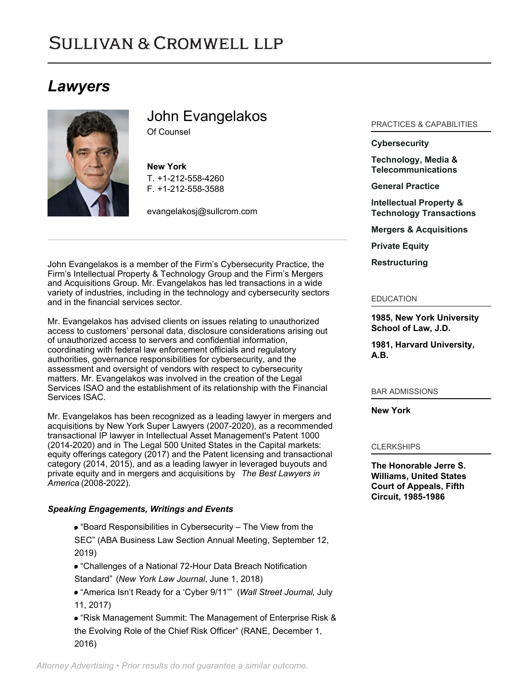## **SULLIVAN & CROMWELL LLP**

## *Lawyers*



# John Evangelakos

Of Counsel

**New York** T. [+1-212-558-4260](tel:+1-212-558-4260) F. [+1-212-558-3588](tel:+1-212-558-3588)

[evangelakosj@sullcrom.com](https://www.sullcrom.com/email-disclaimer?profsid=lawyers/John-Evangelakos)

John Evangelakos is a member of the Firm's Cybersecurity Practice, the Firm's Intellectual Property & Technology Group and the Firm's Mergers and Acquisitions Group. Mr. Evangelakos has led transactions in a wide variety of industries, including in the technology and cybersecurity sectors and in the financial services sector.

Mr. Evangelakos has advised clients on issues relating to unauthorized access to customers' personal data, disclosure considerations arising out of unauthorized access to servers and confidential information, coordinating with federal law enforcement officials and regulatory authorities, governance responsibilities for cybersecurity, and the assessment and oversight of vendors with respect to cybersecurity matters. Mr. Evangelakos was involved in the creation of the Legal Services ISAO and the establishment of its relationship with the Financial Services ISAC.

Mr. Evangelakos has been recognized as a leading lawyer in mergers and acquisitions by New York Super Lawyers (2007-2020), as a recommended transactional IP lawyer in Intellectual Asset Management's Patent 1000 (2014-2020) and in The Legal 500 United States in the Capital markets: equity offerings category (2017) and the Patent licensing and transactional category (2014, 2015), and as a leading lawyer in leveraged buyouts and private equity and in mergers and acquisitions by *The Best Lawyers in America* (2008-2022).

### *Speaking Engagements, Writings and Events*

- "Board Responsibilities in Cybersecurity The View from the
- SEC" (ABA Business Law Section Annual Meeting, September 12, 2019)
- "Challenges of a National 72-Hour Data Breach Notification Standard" (*New York Law Journal*, June 1, 2018)
- "America Isn't Ready for a 'Cyber 9/11'" (*Wall Street Journal*, July 11, 2017)

"Risk Management Summit: The Management of Enterprise Risk & the Evolving Role of the Chief Risk Officer" (RANE, December 1, 2016)

#### PRACTICES & CAPABILITIES

#### **[Cybersecurity](https://www.sullcrom.com/cybersecurity)**

**[Technology, Media &](https://www.sullcrom.com/technology-media-and-telecommunications) [Telecommunications](https://www.sullcrom.com/technology-media-and-telecommunications)**

**[General Practice](https://www.sullcrom.com/general-practice)**

**[Intellectual Property &](https://www.sullcrom.com/Intellectual-Property-and-Technology-Practices) [Technology Transactions](https://www.sullcrom.com/Intellectual-Property-and-Technology-Practices)**

**[Mergers & Acquisitions](https://www.sullcrom.com/Mergers--Acquisitions-Practices)**

**[Private Equity](https://www.sullcrom.com/Private-Equity-Practices)**

**[Restructuring](https://www.sullcrom.com/Restructuring-and-Bankruptcy-Practices)**

#### EDUCATION

**1985, New York University School of Law, J.D.** 

**1981, Harvard University, A.B.** 

#### BAR ADMISSIONS

**New York** 

#### **CLERKSHIPS**

**The Honorable Jerre S. Williams, United States Court of Appeals, Fifth Circuit, 1985-1986**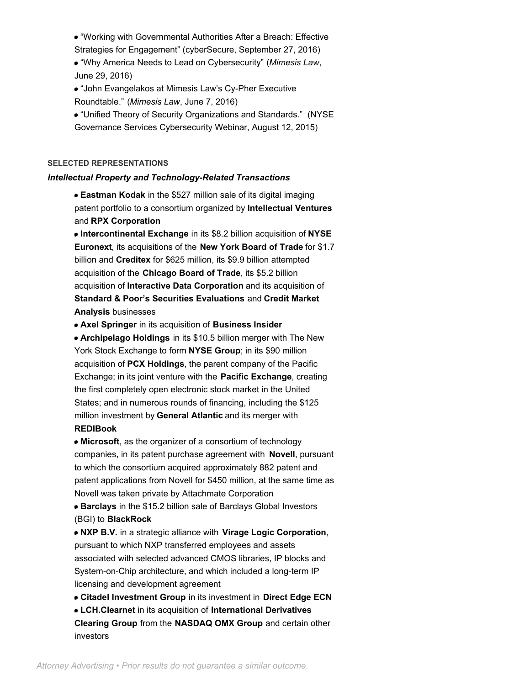- "Working with Governmental Authorities After a Breach: Effective Strategies for Engagement" (cyberSecure, September 27, 2016)
- "Why America Needs to Lead on Cybersecurity" (*Mimesis Law*, June 29, 2016)
- "John Evangelakos at Mimesis Law's Cy-Pher Executive Roundtable." (*Mimesis Law*, June 7, 2016)
- "Unified Theory of Security Organizations and Standards." (NYSE Governance Services Cybersecurity Webinar, August 12, 2015)

#### **SELECTED REPRESENTATIONS**

#### *Intellectual Property and Technology-Related Transactions*

**Eastman Kodak** in the \$527 million sale of its digital imaging patent portfolio to a consortium organized by **Intellectual Ventures**  and **RPX Corporation**

**Intercontinental Exchange** in its \$8.2 billion acquisition of **NYSE Euronext**, its acquisitions of the **New York Board of Trade** for \$1.7 billion and **Creditex** for \$625 million, its \$9.9 billion attempted acquisition of the **Chicago Board of Trade**, its \$5.2 billion acquisition of **Interactive Data Corporation** and its acquisition of **Standard & Poor's Securities Evaluations** and **Credit Market Analysis** businesses

**Axel Springer** in its acquisition of **Business Insider**

**Archipelago Holdings** in its \$10.5 billion merger with The New York Stock Exchange to form **NYSE Group**; in its \$90 million acquisition of **PCX Holdings**, the parent company of the Pacific Exchange; in its joint venture with the **Pacific Exchange**, creating the first completely open electronic stock market in the United States; and in numerous rounds of financing, including the \$125 million investment by **General Atlantic** and its merger with **REDIBook**

**Microsoft**, as the organizer of a consortium of technology companies, in its patent purchase agreement with **Novell**, pursuant to which the consortium acquired approximately 882 patent and patent applications from Novell for \$450 million, at the same time as Novell was taken private by Attachmate Corporation

**Barclays** in the \$15.2 billion sale of Barclays Global Investors (BGI) to **BlackRock**

**NXP B.V.** in a strategic alliance with **Virage Logic Corporation**, pursuant to which NXP transferred employees and assets associated with selected advanced CMOS libraries, IP blocks and System-on-Chip architecture, and which included a long-term IP licensing and development agreement

**Citadel Investment Group** in its investment in **Direct Edge ECN**

**LCH.Clearnet** in its acquisition of **International Derivatives Clearing Group** from the **NASDAQ OMX Group** and certain other investors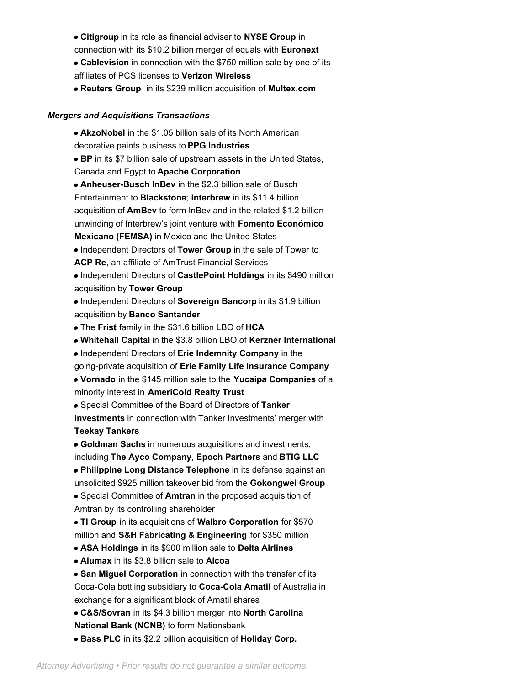- **Citigroup** in its role as financial adviser to **NYSE Group** in connection with its \$10.2 billion merger of equals with **Euronext**
- **Cablevision** in connection with the \$750 million sale by one of its affiliates of PCS licenses to **Verizon Wireless**
- **Reuters Group** in its \$239 million acquisition of **Multex.com**

### *Mergers and Acquisitions Transactions*

**AkzoNobel** in the \$1.05 billion sale of its North American decorative paints business to **PPG Industries BP** in its \$7 billion sale of upstream assets in the United States, Canada and Egypt to **Apache Corporation Anheuser-Busch InBev** in the \$2.3 billion sale of Busch Entertainment to **Blackstone**; **Interbrew** in its \$11.4 billion acquisition of **AmBev** to form InBev and in the related \$1.2 billion unwinding of Interbrew's joint venture with **Fomento Económico Mexicano (FEMSA)** in Mexico and the United States Independent Directors of **Tower Group** in the sale of Tower to **ACP Re**, an affiliate of AmTrust Financial Services Independent Directors of **CastlePoint Holdings** in its \$490 million acquisition by **Tower Group** Independent Directors of **Sovereign Bancorp** in its \$1.9 billion acquisition by **Banco Santander** The **Frist** family in the \$31.6 billion LBO of **HCA Whitehall Capital** in the \$3.8 billion LBO of **Kerzner International** Independent Directors of **Erie Indemnity Company** in the going-private acquisition of **Erie Family Life Insurance Company Vornado** in the \$145 million sale to the **Yucaipa Companies** of a minority interest in **AmeriCold Realty Trust** Special Committee of the Board of Directors of **Tanker Investments** in connection with Tanker Investments' merger with **Teekay Tankers Goldman Sachs** in numerous acquisitions and investments, including **The Ayco Company**, **Epoch Partners** and **BTIG LLC Philippine Long Distance Telephone** in its defense against an unsolicited \$925 million takeover bid from the **Gokongwei Group** Special Committee of **Amtran** in the proposed acquisition of Amtran by its controlling shareholder **TI Group** in its acquisitions of **Walbro Corporation** for \$570 million and **S&H Fabricating & Engineering** for \$350 million **ASA Holdings** in its \$900 million sale to **Delta Airlines Alumax** in its \$3.8 billion sale to **Alcoa San Miguel Corporation** in connection with the transfer of its Coca-Cola bottling subsidiary to **Coca-Cola Amatil** of Australia in exchange for a significant block of Amatil shares **C&S/Sovran** in its \$4.3 billion merger into **North Carolina National Bank (NCNB)** to form Nationsbank

**Bass PLC** in its \$2.2 billion acquisition of **Holiday Corp.**